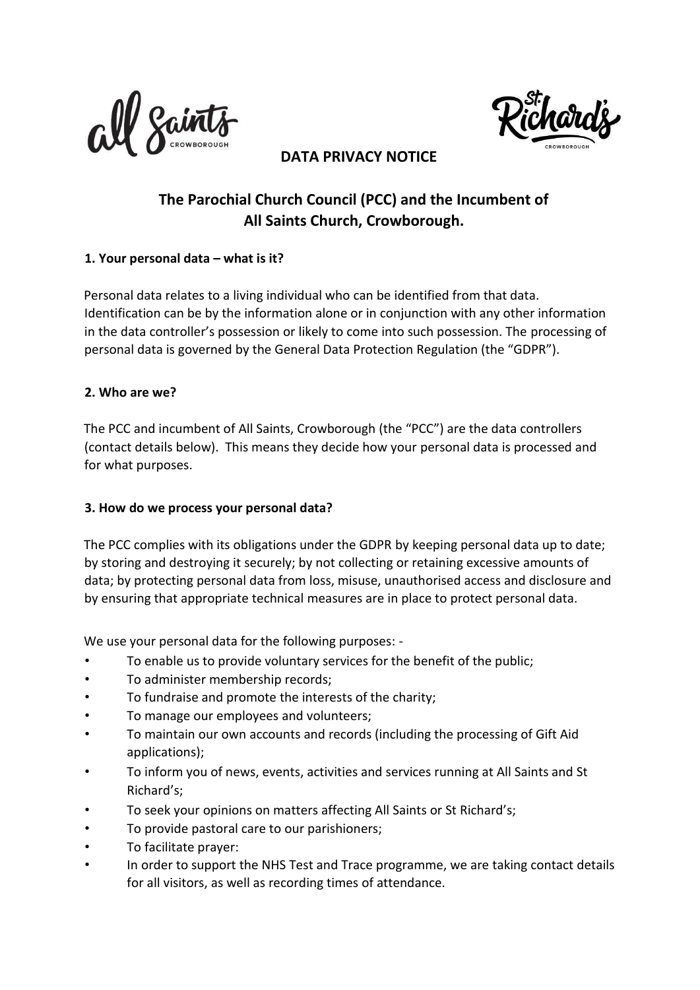



## **DATA PRIVACY NOTICE**

# **The Parochial Church Council (PCC) and the Incumbent of All Saints Church, Crowborough.**

### **1. Your personal data – what is it?**

Personal data relates to a living individual who can be identified from that data. Identification can be by the information alone or in conjunction with any other information in the data controller's possession or likely to come into such possession. The processing of personal data is governed by the General Data Protection Regulation (the "GDPR").

#### **2. Who are we?**

The PCC and incumbent of All Saints, Crowborough (the "PCC") are the data controllers (contact details below). This means they decide how your personal data is processed and for what purposes.

#### **3. How do we process your personal data?**

The PCC complies with its obligations under the GDPR by keeping personal data up to date; by storing and destroying it securely; by not collecting or retaining excessive amounts of data; by protecting personal data from loss, misuse, unauthorised access and disclosure and by ensuring that appropriate technical measures are in place to protect personal data.

We use your personal data for the following purposes: -

- To enable us to provide voluntary services for the benefit of the public;
- To administer membership records;
- To fundraise and promote the interests of the charity;
- To manage our employees and volunteers;
- To maintain our own accounts and records (including the processing of Gift Aid applications);
- To inform you of news, events, activities and services running at All Saints and St Richard's;
- To seek your opinions on matters affecting All Saints or St Richard's;
- To provide pastoral care to our parishioners;
- To facilitate prayer:
- In order to support the NHS Test and Trace programme, we are taking contact details for all visitors, as well as recording times of attendance.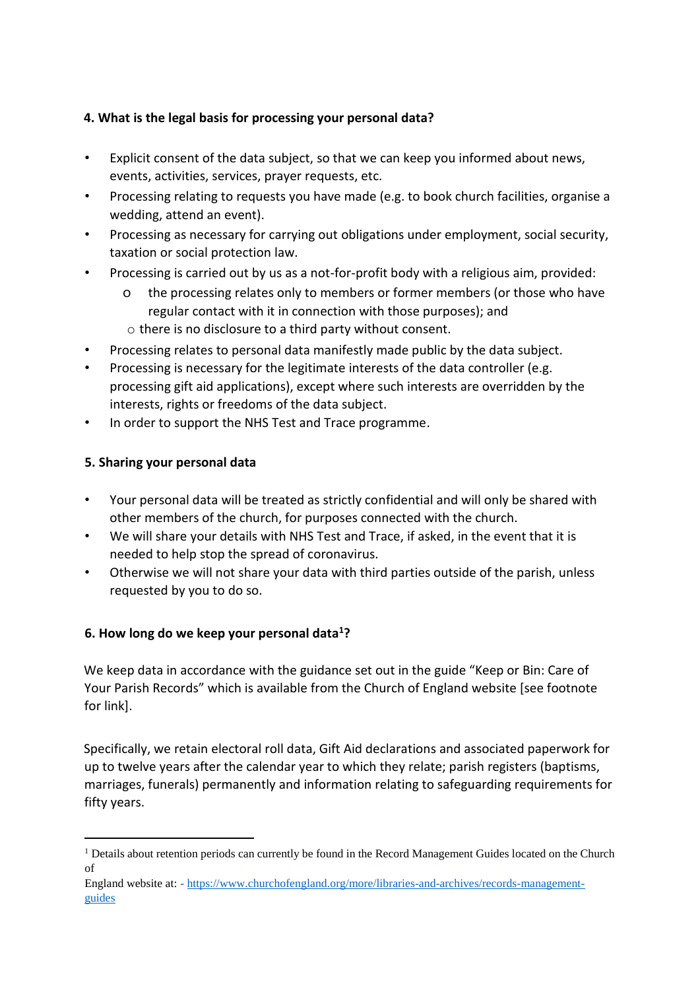## **4. What is the legal basis for processing your personal data?**

- Explicit consent of the data subject, so that we can keep you informed about news, events, activities, services, prayer requests, etc.
- Processing relating to requests you have made (e.g. to book church facilities, organise a wedding, attend an event).
- Processing as necessary for carrying out obligations under employment, social security, taxation or social protection law.
- Processing is carried out by us as a not-for-profit body with a religious aim, provided:
	- o the processing relates only to members or former members (or those who have regular contact with it in connection with those purposes); and
	- o there is no disclosure to a third party without consent.
- Processing relates to personal data manifestly made public by the data subject.
- Processing is necessary for the legitimate interests of the data controller (e.g. processing gift aid applications), except where such interests are overridden by the interests, rights or freedoms of the data subject.
- In order to support the NHS Test and Trace programme.

# **5. Sharing your personal data**

-

- Your personal data will be treated as strictly confidential and will only be shared with other members of the church, for purposes connected with the church.
- We will share your details with NHS Test and Trace, if asked, in the event that it is needed to help stop the spread of coronavirus.
- Otherwise we will not share your data with third parties outside of the parish, unless requested by you to do so.

# **6. How long do we keep your personal data<sup>1</sup>?**

We keep data in accordance with the guidance set out in the guide "Keep or Bin: Care of Your Parish Records" which is available from the Church of England website [see footnote for link].

Specifically, we retain electoral roll data, Gift Aid declarations and associated paperwork for up to twelve years after the calendar year to which they relate; parish registers (baptisms, marriages, funerals) permanently and information relating to safeguarding requirements for fifty years.

<sup>&</sup>lt;sup>1</sup> Details about retention periods can currently be found in the Record Management Guides located on the Church of

England website at: [-](https://www.churchofengland.org/more/libraries-and-archives/records-management-guides) [https://www.churchofengland.org/more/libraries-and-archives/records-management](https://www.churchofengland.org/more/libraries-and-archives/records-management-guides)[guides](https://www.churchofengland.org/more/libraries-and-archives/records-management-guides)